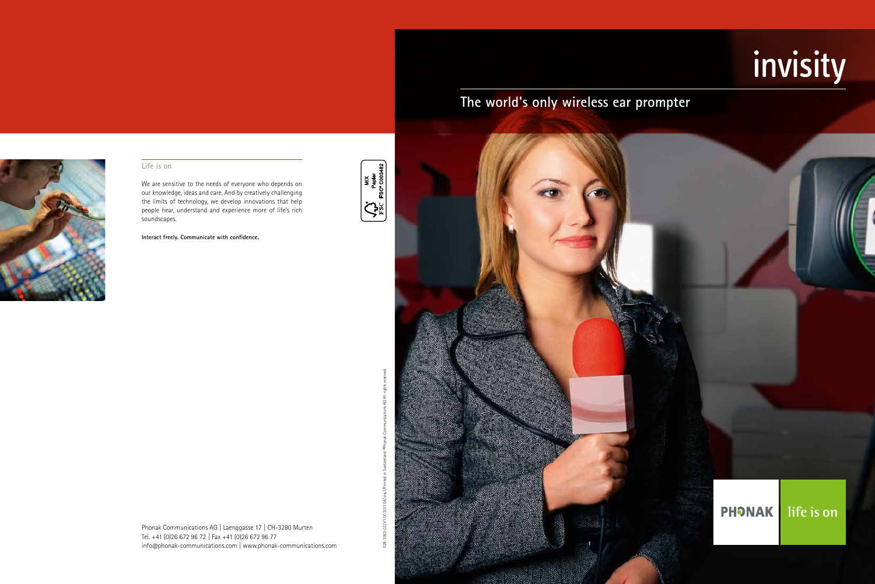

#### **Life is on**

We are sensitive to the needs of everyone who depends on our knowledge, ideas and care. And by creatively challenging the limits of technology, we develop innovations that help people hear, understand and experience more of life's rich soundscapes.

**Interact freely. Communicate with confidence.**

Phonak Communications AG | Laenggasse 17 | CH-3280 Murten Tel. +41 (0)26 672 96 72 | Fax +41 (0)26 672 96 77 info@phonak-communications.com | www.phonak-communications.com



# invisity

# **PHONAK**

life is on

# **The world's only wireless ear prompter**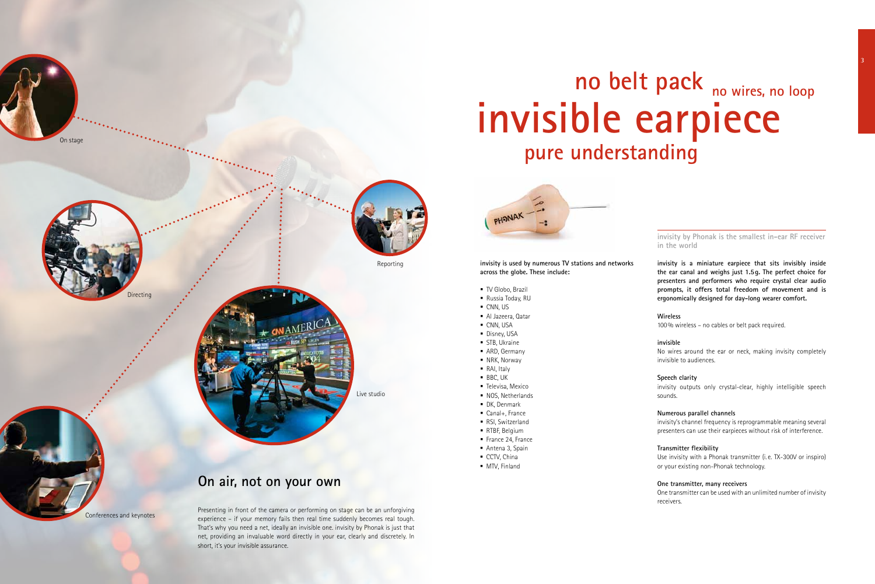On stage



Conferences and keynotes

# Live studio

Reporting

# **invisible earpiece no belt pack no wires, no loop pure understanding**



**invisity is a miniature earpiece that sits invisibly inside the ear canal and weighs just 1.5g. The perfect choice for presenters and performers who require crystal clear audio prompts, it offers total freedom of movement and is ergonomically designed for day-long wearer comfort.**

#### **Wireless**

100% wireless – no cables or belt pack required.

#### **invisible**

No wires around the ear or neck, making invisity completely invisible to audiences.

#### **Speech clarity**

invisity outputs only crystal-clear, highly intelligible speech sounds.

#### **Numerous parallel channels**

invisity's channel frequency is reprogrammable meaning several presenters can use their earpieces without risk of interference.

#### **Transmitter flexibility**

Use invisity with a Phonak transmitter (i. e. TX-300V or inspiro) or your existing non-Phonak technology.

#### **One transmitter, many receivers**

One transmitter can be used with an unlimited number of invisity receivers.



Presenting in front of the camera or performing on stage can be an unforgiving experience – if your memory fails then real time suddenly becomes real tough. That's why you need a net, ideally an invisible one. invisity by Phonak is just that net, providing an invaluable word directly in your ear, clearly and discretely. In short, it's your invisible assurance.

## **On air, not on your own**

**invisity by Phonak is the smallest in-ear RF receiver in the world**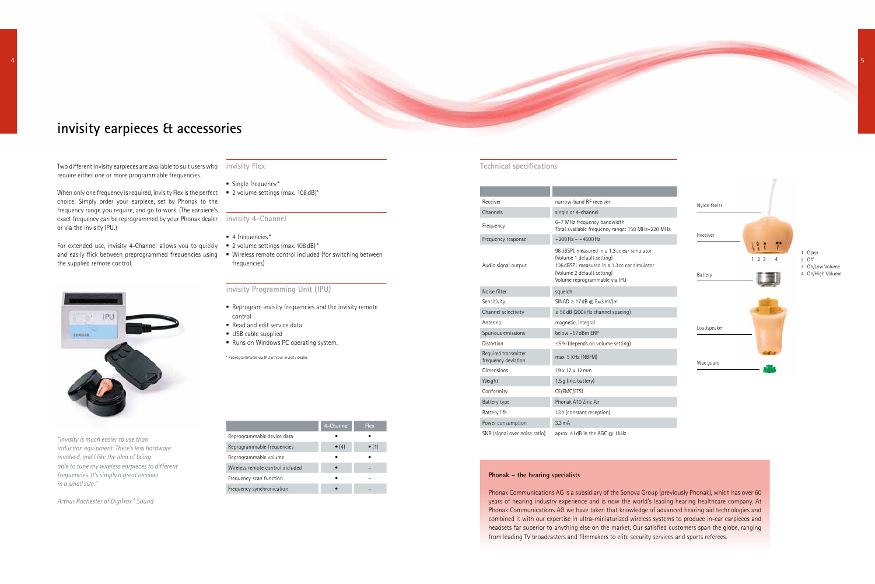

#### **Phonak – the hearing specialists**

Phonak Communications AG is a subsidiary of the Sonova Group (previously Phonak), which has over 60 years of hearing industry experience and is now the world's leading hearing healthcare company. At Phonak Communications AG we have taken that knowledge of advanced hearing aid technologies and combined it with our expertise in ultra-miniaturized wireless systems to produce in-ear earpieces and headsets far superior to anything else on the market. Our satisfied customers span the globe, ranging from leading TV broadcasters and filmmakers to elite security services and sports referees.

When only one frequency is required, invisity Flex is the perfect  $\blacksquare$  2 volume settings (max. 108 dB)\* choice. Simply order your earpiece, set by Phonak to the frequency range you require, and go to work. (The earpiece's exact frequency can be reprogrammed by your Phonak dealer **invisity 4-Channel** or via the invisity IPU.)

For extended use, invisity 4-Channel allows you to quickly = 2 volume settings (max. 108 dB)\* and easily flick between preprogrammed frequencies using the supplied remote control.



| Receiver                                    | narrow-band RF receiver                                                                                                                                                                  |  |
|---------------------------------------------|------------------------------------------------------------------------------------------------------------------------------------------------------------------------------------------|--|
| Channels                                    | single or 4-channel                                                                                                                                                                      |  |
| Frequency                                   | 6-7 MHz frequency bandwidth<br>Total available frequency range: 158 MHz-220 MHz                                                                                                          |  |
| Frequency response                          | $\approx$ 200 Hz $=$ $\approx$ 4500 Hz                                                                                                                                                   |  |
| Audio signal output                         | 98 dBSPL measured in a 1.3 cc ear simulator<br>(Volume 1 default setting)<br>106 dBSPL measured in a 1.3 cc ear simulator<br>(Volume 2 default setting)<br>Volume reprogrammable via IPU |  |
| Noise filter                                | squelch                                                                                                                                                                                  |  |
| Sensitivity                                 | SINAD $\geq$ 17 dB @ E=3 mV/m                                                                                                                                                            |  |
| Channel selectivity                         | $\geq 50$ dB (200 kHz channel spacing)                                                                                                                                                   |  |
| Antenna                                     | magnetic, integral                                                                                                                                                                       |  |
| Spurious emissions                          | helow -57 dBm FRP                                                                                                                                                                        |  |
| Distortion                                  | ≤5% (depends on volume setting)                                                                                                                                                          |  |
| Required transmitter<br>frequency deviation | max. 5 KHz (NBFM)                                                                                                                                                                        |  |
| Dimensions                                  | 19 x 12 x 12 mm                                                                                                                                                                          |  |
| Weight                                      | $1.5$ q (inc. battery)                                                                                                                                                                   |  |
| Conformity                                  | CE/EMC/ETSI                                                                                                                                                                              |  |
| Battery type                                | Phonak A10 Zinc Air                                                                                                                                                                      |  |
| Battery life                                | 13 h (constant reception)                                                                                                                                                                |  |
| Power consumption                           | 3.3 <sub>m</sub> A                                                                                                                                                                       |  |
| SNR (signal over noise ratio)               | aprox. 41 dB in the AGC @ 1 kHz                                                                                                                                                          |  |

- $\blacksquare$  4 frequencies\*
- 
- **Wireless remote control included (for switching between** frequencies)

#### **Technical specifications**

## **invisity earpieces & accessories**

Two different invisity earpieces are available to suit users who **invisity Flex** require either one or more programmable frequencies.

|                                  | 4-Channel     | <b>Flex</b>   |
|----------------------------------|---------------|---------------|
| Reprogrammable device data       |               |               |
| Reprogrammable frequencies       | $\bullet$ (4) | $\bullet$ (1) |
| Reprogrammable volume            |               |               |
| Wireless remote control included |               |               |
| Frequency scan function          |               |               |
| Frequency synchronication        |               |               |
|                                  |               |               |

#### **invisity Programming Unit (IPU)**

- Reprogram invisity frequencies and the invisity remote control
- Read and edit service data
- USB cable supplied
- Runs on Windows PC operating system.

\* Reprogrammable via IPU or your invisity dealer.

*"invisity is much easier to use than induction equipment. There's less hardware involved, and I like the idea of being able to tune my wireless earpieces to different frequencies. It's simply a great receiver in a small size."*

*Arthur Rochester of DigiTrax ® Sound*

- **Single frequency\***
-